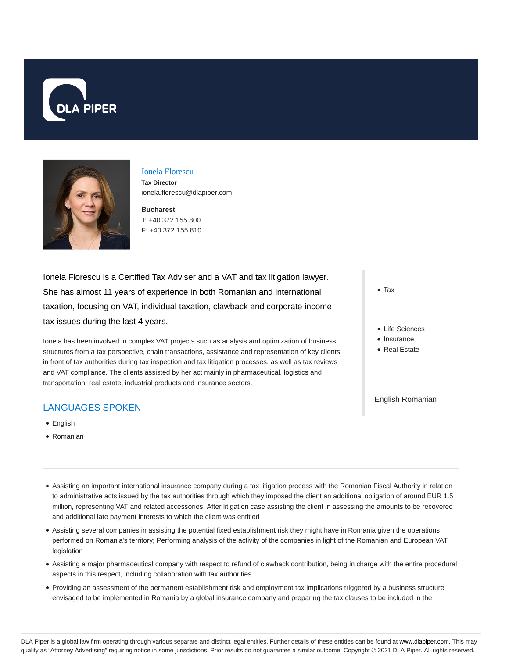



# Ionela Florescu

**Tax Director** ionela.florescu@dlapiper.com

**Bucharest** T: +40 372 155 800 F: +40 372 155 810

Ionela Florescu is a Certified Tax Adviser and a VAT and tax litigation lawyer. She has almost 11 years of experience in both Romanian and international taxation, focusing on VAT, individual taxation, clawback and corporate income tax issues during the last 4 years.

Ionela has been involved in complex VAT projects such as analysis and optimization of business structures from a tax perspective, chain transactions, assistance and representation of key clients in front of tax authorities during tax inspection and tax litigation processes, as well as tax reviews and VAT compliance. The clients assisted by her act mainly in pharmaceutical, logistics and transportation, real estate, industrial products and insurance sectors.

# LANGUAGES SPOKEN

- **•** English
- Romanian
- Tax
- Life Sciences
- Insurance
- Real Estate

English Romanian

- Assisting an important international insurance company during a tax litigation process with the Romanian Fiscal Authority in relation to administrative acts issued by the tax authorities through which they imposed the client an additional obligation of around EUR 1.5 million, representing VAT and related accessories; After litigation case assisting the client in assessing the amounts to be recovered and additional late payment interests to which the client was entitled
- Assisting several companies in assisting the potential fixed establishment risk they might have in Romania given the operations performed on Romania's territory; Performing analysis of the activity of the companies in light of the Romanian and European VAT legislation
- Assisting a major pharmaceutical company with respect to refund of clawback contribution, being in charge with the entire procedural aspects in this respect, including collaboration with tax authorities
- Providing an assessment of the permanent establishment risk and employment tax implications triggered by a business structure envisaged to be implemented in Romania by a global insurance company and preparing the tax clauses to be included in the

DLA Piper is a global law firm operating through various separate and distinct legal entities. Further details of these entities can be found at www.dlapiper.com. This may qualify as "Attorney Advertising" requiring notice in some jurisdictions. Prior results do not guarantee a similar outcome. Copyright @ 2021 DLA Piper. All rights reserved.